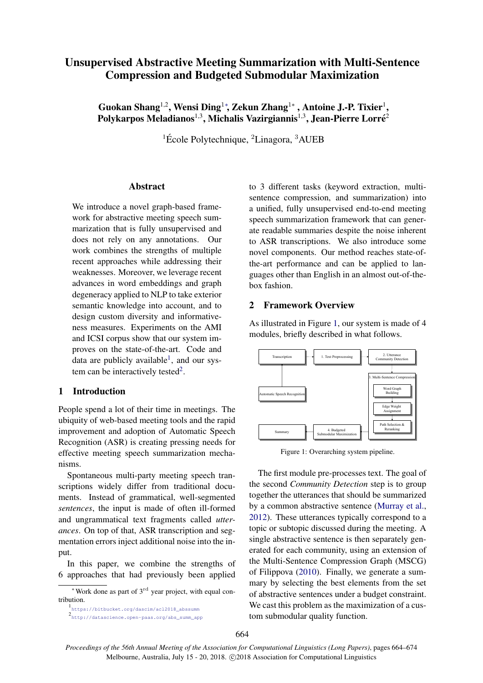# Unsupervised Abstractive Meeting Summarization with Multi-Sentence Compression and Budgeted Submodular Maximization

Guokan Shang $^{1,2}$ , Wensi Ding $^{1*}$ , Zekun Zhang $^{1*}$  , Antoine J.-P. Tixier $^{1},$ Polykarpos Meladianos $^{1,3}$ , Michalis Vazirgiannis $^{1,3}$ , Jean-Pierre Lorré $^{2}$ 

<sup>1</sup> École Polytechnique, <sup>2</sup>Linagora, <sup>3</sup>AUEB

## Abstract

We introduce a novel graph-based framework for abstractive meeting speech summarization that is fully unsupervised and does not rely on any annotations. Our work combines the strengths of multiple recent approaches while addressing their weaknesses. Moreover, we leverage recent advances in word embeddings and graph degeneracy applied to NLP to take exterior semantic knowledge into account, and to design custom diversity and informativeness measures. Experiments on the AMI and ICSI corpus show that our system improves on the state-of-the-art. Code and data are publicly available<sup>[1](#page-0-0)</sup>, and our sys-tem can be interactively tested<sup>[2](#page-0-1)</sup>.

## 1 Introduction

People spend a lot of their time in meetings. The ubiquity of web-based meeting tools and the rapid improvement and adoption of Automatic Speech Recognition (ASR) is creating pressing needs for effective meeting speech summarization mechanisms.

Spontaneous multi-party meeting speech transcriptions widely differ from traditional documents. Instead of grammatical, well-segmented *sentences*, the input is made of often ill-formed and ungrammatical text fragments called *utterances*. On top of that, ASR transcription and segmentation errors inject additional noise into the input.

In this paper, we combine the strengths of 6 approaches that had previously been applied

<span id="page-0-1"></span>2 [http://datascience.open-paas.org/abs\\_summ\\_app](http://datascience.open-paas.org/abs_summ_app)

to 3 different tasks (keyword extraction, multisentence compression, and summarization) into a unified, fully unsupervised end-to-end meeting speech summarization framework that can generate readable summaries despite the noise inherent to ASR transcriptions. We also introduce some novel components. Our method reaches state-ofthe-art performance and can be applied to languages other than English in an almost out-of-thebox fashion.

# 2 Framework Overview

As illustrated in Figure [1,](#page-0-2) our system is made of 4 modules, briefly described in what follows.

<span id="page-0-2"></span>

Figure 1: Overarching system pipeline.

The first module pre-processes text. The goal of the second *Community Detection* step is to group together the utterances that should be summarized by a common abstractive sentence [\(Murray et al.,](#page-9-0) [2012\)](#page-9-0). These utterances typically correspond to a topic or subtopic discussed during the meeting. A single abstractive sentence is then separately generated for each community, using an extension of the Multi-Sentence Compression Graph (MSCG) of Filippova [\(2010\)](#page-9-1). Finally, we generate a summary by selecting the best elements from the set of abstractive sentences under a budget constraint. We cast this problem as the maximization of a custom submodular quality function.

 $*$ Work done as part of  $3<sup>rd</sup>$  year project, with equal contribution.

<span id="page-0-0"></span><sup>1</sup> [https://bitbucket.org/dascim/acl2018\\_abssumm](https://bitbucket.org/dascim/acl2018_abssumm)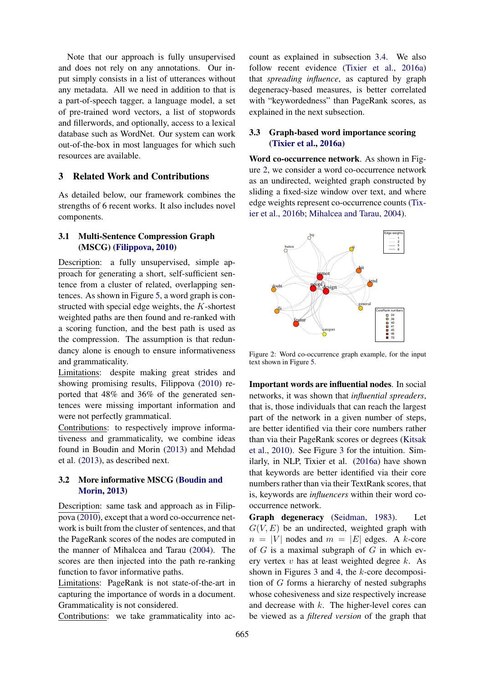Note that our approach is fully unsupervised and does not rely on any annotations. Our input simply consists in a list of utterances without any metadata. All we need in addition to that is a part-of-speech tagger, a language model, a set of pre-trained word vectors, a list of stopwords and fillerwords, and optionally, access to a lexical database such as WordNet. Our system can work out-of-the-box in most languages for which such resources are available.

# <span id="page-1-2"></span>3 Related Work and Contributions

As detailed below, our framework combines the strengths of 6 recent works. It also includes novel components.

# 3.1 Multi-Sentence Compression Graph (MSCG) [\(Filippova,](#page-9-1) [2010\)](#page-9-1)

Description: a fully unsupervised, simple approach for generating a short, self-sufficient sentence from a cluster of related, overlapping sentences. As shown in Figure [5,](#page-4-0) a word graph is constructed with special edge weights, the K-shortest weighted paths are then found and re-ranked with a scoring function, and the best path is used as the compression. The assumption is that redundancy alone is enough to ensure informativeness and grammaticality.

Limitations: despite making great strides and showing promising results, Filippova [\(2010\)](#page-9-1) reported that 48% and 36% of the generated sentences were missing important information and were not perfectly grammatical.

Contributions: to respectively improve informativeness and grammaticality, we combine ideas found in Boudin and Morin [\(2013\)](#page-9-2) and Mehdad et al. [\(2013\)](#page-9-3), as described next.

# 3.2 More informative MSCG [\(Boudin and](#page-9-2) [Morin,](#page-9-2) [2013\)](#page-9-2)

Description: same task and approach as in Filippova [\(2010\)](#page-9-1), except that a word co-occurrence network is built from the cluster of sentences, and that the PageRank scores of the nodes are computed in the manner of Mihalcea and Tarau [\(2004\)](#page-9-4). The scores are then injected into the path re-ranking function to favor informative paths.

Limitations: PageRank is not state-of-the-art in capturing the importance of words in a document. Grammaticality is not considered.

Contributions: we take grammaticality into ac-

count as explained in subsection [3.4.](#page-2-0) We also follow recent evidence [\(Tixier et al.,](#page-10-0) [2016a\)](#page-10-0) that *spreading influence*, as captured by graph degeneracy-based measures, is better correlated with "keywordedness" than PageRank scores, as explained in the next subsection.

# <span id="page-1-1"></span>3.3 Graph-based word importance scoring [\(Tixier et al.,](#page-10-0) [2016a\)](#page-10-0)

Word co-occurrence network. As shown in Figure [2,](#page-1-0) we consider a word co-occurrence network as an undirected, weighted graph constructed by sliding a fixed-size window over text, and where edge weights represent co-occurrence counts [\(Tix](#page-10-1)[ier et al.,](#page-10-1) [2016b;](#page-10-1) [Mihalcea and Tarau,](#page-9-4) [2004\)](#page-9-4).

<span id="page-1-0"></span>

Figure 2: Word co-occurrence graph example, for the input text shown in Figure [5.](#page-4-0)

Important words are influential nodes. In social networks, it was shown that *influential spreaders*, that is, those individuals that can reach the largest part of the network in a given number of steps, are better identified via their core numbers rather than via their PageRank scores or degrees [\(Kitsak](#page-9-5) [et al.,](#page-9-5) [2010\)](#page-9-5). See Figure [3](#page-2-1) for the intuition. Similarly, in NLP, Tixier et al. [\(2016a\)](#page-10-0) have shown that keywords are better identified via their core numbers rather than via their TextRank scores, that is, keywords are *influencers* within their word cooccurrence network.

Graph degeneracy [\(Seidman,](#page-10-2) [1983\)](#page-10-2). Let  $G(V, E)$  be an undirected, weighted graph with  $n = |V|$  nodes and  $m = |E|$  edges. A k-core of  $G$  is a maximal subgraph of  $G$  in which every vertex  $v$  has at least weighted degree  $k$ . As shown in Figures [3](#page-2-1) and [4,](#page-2-2) the k-core decomposition of G forms a hierarchy of nested subgraphs whose cohesiveness and size respectively increase and decrease with  $k$ . The higher-level cores can be viewed as a *filtered version* of the graph that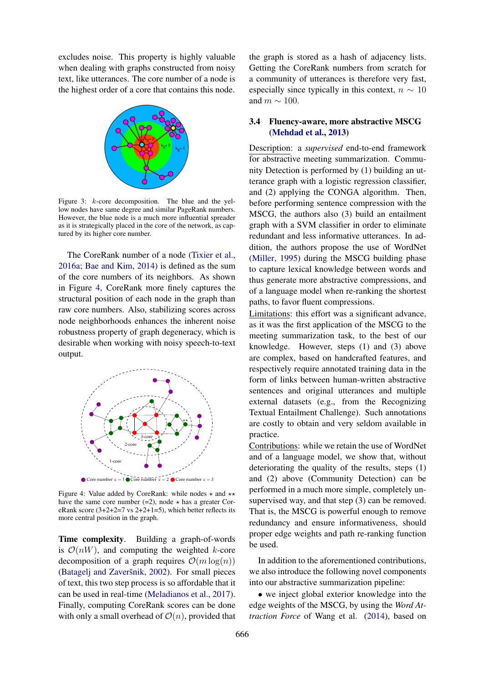excludes noise. This property is highly valuable when dealing with graphs constructed from noisy text, like utterances. The core number of a node is the highest order of a core that contains this node.

<span id="page-2-1"></span>

Figure 3: k-core decomposition. The blue and the yellow nodes have same degree and similar PageRank numbers. However, the blue node is a much more influential spreader as it is strategically placed in the core of the network, as captured by its higher core number.

The CoreRank number of a node [\(Tixier et al.,](#page-10-0) [2016a;](#page-10-0) [Bae and Kim,](#page-9-6) [2014\)](#page-9-6) is defined as the sum of the core numbers of its neighbors. As shown in Figure [4,](#page-2-2) CoreRank more finely captures the structural position of each node in the graph than raw core numbers. Also, stabilizing scores across node neighborhoods enhances the inherent noise robustness property of graph degeneracy, which is desirable when working with noisy speech-to-text output.

<span id="page-2-2"></span>

Figure 4: Value added by CoreRank: while nodes  $\star$  and  $\star\star$ have the same core number (=2), node  $\star$  has a greater CoreRank score  $(3+2+2=7 \text{ vs } 2+2+1=5)$ , which better reflects its more central position in the graph.

Time complexity. Building a graph-of-words is  $\mathcal{O}(nW)$ , and computing the weighted k-core decomposition of a graph requires  $\mathcal{O}(m \log(n))$ (Batagelj and Zaveršnik, [2002\)](#page-9-7). For small pieces of text, this two step process is so affordable that it can be used in real-time [\(Meladianos et al.,](#page-9-8) [2017\)](#page-9-8). Finally, computing CoreRank scores can be done with only a small overhead of  $\mathcal{O}(n)$ , provided that the graph is stored as a hash of adjacency lists. Getting the CoreRank numbers from scratch for a community of utterances is therefore very fast, especially since typically in this context,  $n \sim 10$ and  $m \sim 100$ .

# <span id="page-2-0"></span>3.4 Fluency-aware, more abstractive MSCG [\(Mehdad et al.,](#page-9-3) [2013\)](#page-9-3)

Description: a *supervised* end-to-end framework for abstractive meeting summarization. Community Detection is performed by (1) building an utterance graph with a logistic regression classifier, and (2) applying the CONGA algorithm. Then, before performing sentence compression with the MSCG, the authors also (3) build an entailment graph with a SVM classifier in order to eliminate redundant and less informative utterances. In addition, the authors propose the use of WordNet [\(Miller,](#page-9-9) [1995\)](#page-9-9) during the MSCG building phase to capture lexical knowledge between words and thus generate more abstractive compressions, and of a language model when re-ranking the shortest paths, to favor fluent compressions.

Limitations: this effort was a significant advance, as it was the first application of the MSCG to the meeting summarization task, to the best of our knowledge. However, steps (1) and (3) above are complex, based on handcrafted features, and respectively require annotated training data in the form of links between human-written abstractive sentences and original utterances and multiple external datasets (e.g., from the Recognizing Textual Entailment Challenge). Such annotations are costly to obtain and very seldom available in practice.

Contributions: while we retain the use of WordNet and of a language model, we show that, without deteriorating the quality of the results, steps (1) and (2) above (Community Detection) can be performed in a much more simple, completely unsupervised way, and that step (3) can be removed. That is, the MSCG is powerful enough to remove redundancy and ensure informativeness, should proper edge weights and path re-ranking function be used.

In addition to the aforementioned contributions, we also introduce the following novel components into our abstractive summarization pipeline:

• we inject global exterior knowledge into the edge weights of the MSCG, by using the *Word Attraction Force* of Wang et al. [\(2014\)](#page-10-3), based on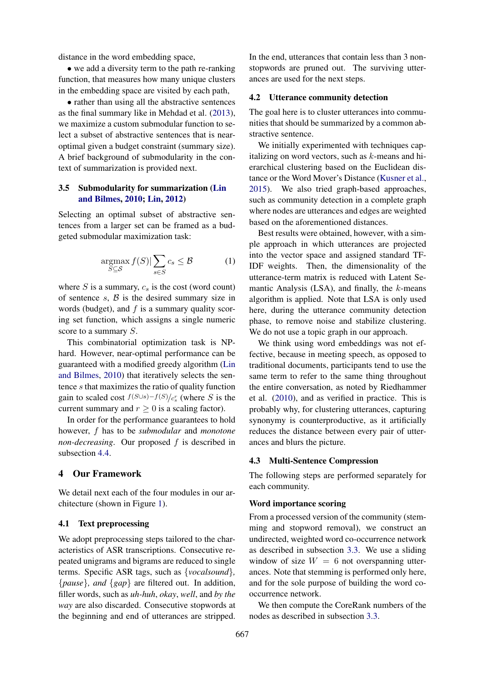distance in the word embedding space,

• we add a diversity term to the path re-ranking function, that measures how many unique clusters in the embedding space are visited by each path,

• rather than using all the abstractive sentences as the final summary like in Mehdad et al. [\(2013\)](#page-9-3), we maximize a custom submodular function to select a subset of abstractive sentences that is nearoptimal given a budget constraint (summary size). A brief background of submodularity in the context of summarization is provided next.

## <span id="page-3-1"></span>3.5 Submodularity for summarization [\(Lin](#page-9-10) [and Bilmes,](#page-9-10) [2010;](#page-9-10) [Lin,](#page-9-11) [2012\)](#page-9-11)

Selecting an optimal subset of abstractive sentences from a larger set can be framed as a budgeted submodular maximization task:

$$
\underset{S \subseteq \mathcal{S}}{\operatorname{argmax}} f(S)| \sum_{s \in S} c_s \leq \mathcal{B} \tag{1}
$$

where  $S$  is a summary,  $c_s$  is the cost (word count) of sentence  $s$ ,  $\beta$  is the desired summary size in words (budget), and  $f$  is a summary quality scoring set function, which assigns a single numeric score to a summary S.

This combinatorial optimization task is NPhard. However, near-optimal performance can be guaranteed with a modified greedy algorithm [\(Lin](#page-9-10) [and Bilmes,](#page-9-10) [2010\)](#page-9-10) that iteratively selects the sentence s that maximizes the ratio of quality function gain to scaled cost  $f(S \cup s) - f(S)/c_s^r$  (where S is the current summary and  $r > 0$  is a scaling factor).

In order for the performance guarantees to hold however, f has to be *submodular* and *monotone non-decreasing*. Our proposed f is described in subsection [4.4.](#page-6-0)

# 4 Our Framework

We detail next each of the four modules in our architecture (shown in Figure [1\)](#page-0-2).

### 4.1 Text preprocessing

We adopt preprocessing steps tailored to the characteristics of ASR transcriptions. Consecutive repeated unigrams and bigrams are reduced to single terms. Specific ASR tags, such as {*vocalsound*}*,* {*pause*}*, and* {*gap*} are filtered out. In addition, filler words, such as *uh-huh*, *okay*, *well*, and *by the way* are also discarded. Consecutive stopwords at the beginning and end of utterances are stripped.

In the end, utterances that contain less than 3 nonstopwords are pruned out. The surviving utterances are used for the next steps.

#### <span id="page-3-2"></span>4.2 Utterance community detection

The goal here is to cluster utterances into communities that should be summarized by a common abstractive sentence.

We initially experimented with techniques capitalizing on word vectors, such as  $k$ -means and hierarchical clustering based on the Euclidean distance or the Word Mover's Distance [\(Kusner et al.,](#page-9-12) [2015\)](#page-9-12). We also tried graph-based approaches, such as community detection in a complete graph where nodes are utterances and edges are weighted based on the aforementioned distances.

Best results were obtained, however, with a simple approach in which utterances are projected into the vector space and assigned standard TF-IDF weights. Then, the dimensionality of the utterance-term matrix is reduced with Latent Semantic Analysis  $(LSA)$ , and finally, the  $k$ -means algorithm is applied. Note that LSA is only used here, during the utterance community detection phase, to remove noise and stabilize clustering. We do not use a topic graph in our approach.

We think using word embeddings was not effective, because in meeting speech, as opposed to traditional documents, participants tend to use the same term to refer to the same thing throughout the entire conversation, as noted by Riedhammer et al. [\(2010\)](#page-10-4), and as verified in practice. This is probably why, for clustering utterances, capturing synonymy is counterproductive, as it artificially reduces the distance between every pair of utterances and blurs the picture.

#### <span id="page-3-3"></span>4.3 Multi-Sentence Compression

The following steps are performed separately for each community.

## <span id="page-3-0"></span>Word importance scoring

From a processed version of the community (stemming and stopword removal), we construct an undirected, weighted word co-occurrence network as described in subsection [3.3.](#page-1-1) We use a sliding window of size  $W = 6$  not overspanning utterances. Note that stemming is performed only here, and for the sole purpose of building the word cooccurrence network.

We then compute the CoreRank numbers of the nodes as described in subsection [3.3.](#page-1-1)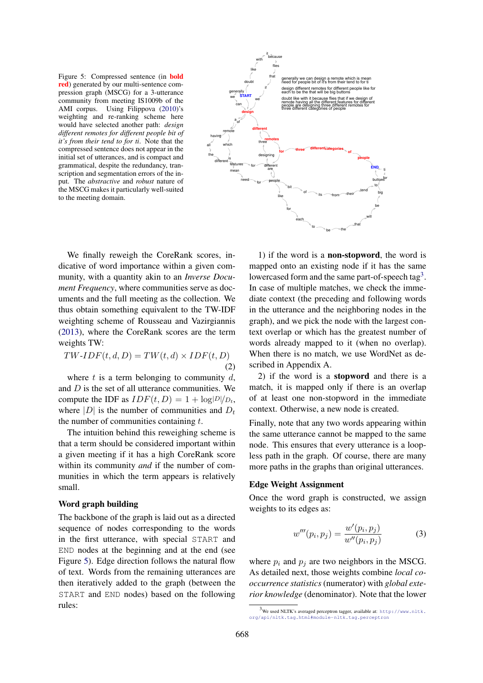<span id="page-4-0"></span>Figure 5: Compressed sentence (in bold red) generated by our multi-sentence compression graph (MSCG) for a 3-utterance community from meeting IS1009b of the AMI corpus. Using Filippova [\(2010\)](#page-9-1)'s weighting and re-ranking scheme here would have selected another path: *design different remotes for different people bit of it's from their tend to for ti*. Note that the compressed sentence does not appear in the initial set of utterances, and is compact and grammatical, despite the redundancy, transcription and segmentation errors of the input. The *abstractive* and *robust* nature of the MSCG makes it particularly well-suited to the meeting domain.



We finally reweigh the CoreRank scores, indicative of word importance within a given community, with a quantity akin to an *Inverse Document Frequency*, where communities serve as documents and the full meeting as the collection. We thus obtain something equivalent to the TW-IDF weighting scheme of Rousseau and Vazirgiannis [\(2013\)](#page-10-5), where the CoreRank scores are the term weights TW:

$$
TW-IDF(t, d, D) = TW(t, d) \times IDF(t, D)
$$
\n(2)

where  $t$  is a term belonging to community  $d$ , and  $D$  is the set of all utterance communities. We compute the IDF as  $IDF(t, D) = 1 + log|D|/D_t$ , where  $|D|$  is the number of communities and  $D_t$ the number of communities containing  $t$ .

The intuition behind this reweighing scheme is that a term should be considered important within a given meeting if it has a high CoreRank score within its community *and* if the number of communities in which the term appears is relatively small.

## Word graph building

The backbone of the graph is laid out as a directed sequence of nodes corresponding to the words in the first utterance, with special START and END nodes at the beginning and at the end (see Figure [5\)](#page-4-0). Edge direction follows the natural flow of text. Words from the remaining utterances are then iteratively added to the graph (between the START and END nodes) based on the following rules:

1) if the word is a non-stopword, the word is mapped onto an existing node if it has the same lowercased form and the same part-of-speech tag<sup>[3](#page-4-1)</sup>. In case of multiple matches, we check the immediate context (the preceding and following words in the utterance and the neighboring nodes in the graph), and we pick the node with the largest context overlap or which has the greatest number of words already mapped to it (when no overlap). When there is no match, we use WordNet as described in Appendix A.

2) if the word is a stopword and there is a match, it is mapped only if there is an overlap of at least one non-stopword in the immediate context. Otherwise, a new node is created.

Finally, note that any two words appearing within the same utterance cannot be mapped to the same node. This ensures that every utterance is a loopless path in the graph. Of course, there are many more paths in the graphs than original utterances.

## Edge Weight Assignment

Once the word graph is constructed, we assign weights to its edges as:

$$
w'''(p_i, p_j) = \frac{w'(p_i, p_j)}{w''(p_i, p_j)}
$$
(3)

where  $p_i$  and  $p_j$  are two neighbors in the MSCG. As detailed next, those weights combine *local cooccurrence statistics* (numerator) with *global exterior knowledge* (denominator). Note that the lower

<span id="page-4-1"></span> $3$ We used NLTK's averaged perceptron tagger, available at: [http://www.nltk.](http://www.nltk.org/api/nltk.tag.html#module-nltk.tag.perceptron) [org/api/nltk.tag.html#module-nltk.tag.perceptron](http://www.nltk.org/api/nltk.tag.html#module-nltk.tag.perceptron)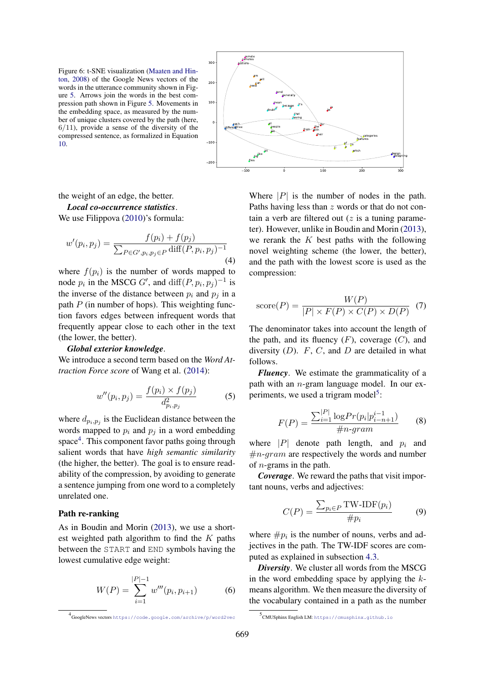<span id="page-5-2"></span>Figure 6: t-SNE visualization [\(Maaten and Hin](#page-9-13)[ton,](#page-9-13) [2008\)](#page-9-13) of the Google News vectors of the words in the utterance community shown in Figure [5.](#page-4-0) Arrows join the words in the best compression path shown in Figure [5.](#page-4-0) Movements in the embedding space, as measured by the number of unique clusters covered by the path (here,  $6/11$ ), provide a sense of the diversity of the compressed sentence, as formalized in Equation [10.](#page-6-1)

the weight of an edge, the better.

*Local co-occurrence statistics*.

We use Filippova [\(2010\)](#page-9-1)'s formula:

$$
w'(p_i, p_j) = \frac{f(p_i) + f(p_j)}{\sum_{P \in G', p_i, p_j \in P} \text{diff}(P, p_i, p_j)^{-1}}
$$
\n(4)

where  $f(p_i)$  is the number of words mapped to node  $p_i$  in the MSCG G', and  $\text{diff}(P, p_i, p_j)^{-1}$  is the inverse of the distance between  $p_i$  and  $p_j$  in a path  $P$  (in number of hops). This weighting function favors edges between infrequent words that frequently appear close to each other in the text (the lower, the better).

#### *Global exterior knowledge*.

We introduce a second term based on the *Word Attraction Force score* of Wang et al. [\(2014\)](#page-10-3):

$$
w''(p_i, p_j) = \frac{f(p_i) \times f(p_j)}{d_{p_i, p_j}^2}
$$
 (5)

where  $d_{p_i, p_j}$  is the Euclidean distance between the words mapped to  $p_i$  and  $p_j$  in a word embedding space<sup>[4](#page-5-0)</sup>. This component favor paths going through salient words that have *high semantic similarity* (the higher, the better). The goal is to ensure readability of the compression, by avoiding to generate a sentence jumping from one word to a completely unrelated one.

#### Path re-ranking

As in Boudin and Morin [\(2013\)](#page-9-2), we use a shortest weighted path algorithm to find the  $K$  paths between the START and END symbols having the lowest cumulative edge weight:

$$
W(P) = \sum_{i=1}^{|P|-1} w'''(p_i, p_{i+1})
$$
 (6)



Where  $|P|$  is the number of nodes in the path. Paths having less than z words or that do not contain a verb are filtered out  $(z$  is a tuning parameter). However, unlike in Boudin and Morin [\(2013\)](#page-9-2), we rerank the  $K$  best paths with the following novel weighting scheme (the lower, the better), and the path with the lowest score is used as the compression:

score
$$
(P)
$$
 = 
$$
\frac{W(P)}{|P| \times F(P) \times C(P) \times D(P)}
$$
 (7)

The denominator takes into account the length of the path, and its fluency  $(F)$ , coverage  $(C)$ , and diversity  $(D)$ . F, C, and D are detailed in what follows.

*Fluency*. We estimate the grammaticality of a path with an  $n$ -gram language model. In our ex-periments, we used a trigram model<sup>[5](#page-5-1)</sup>:

$$
F(P) = \frac{\sum_{i=1}^{|P|} \log Pr(p_i | p_{i-h+1}^{i-1})}{\#n \text{-}gram} \tag{8}
$$

where  $|P|$  denote path length, and  $p_i$  and  $\#n\text{-}gram$  are respectively the words and number of n-grams in the path.

*Coverage*. We reward the paths that visit important nouns, verbs and adjectives:

$$
C(P) = \frac{\sum_{p_i \in P} \text{TW-IDF}(p_i)}{\# p_i}
$$
 (9)

where  $\#p_i$  is the number of nouns, verbs and adjectives in the path. The TW-IDF scores are computed as explained in subsection [4.3.](#page-3-0)

*Diversity*. We cluster all words from the MSCG in the word embedding space by applying the  $k$ means algorithm. We then measure the diversity of the vocabulary contained in a path as the number

<span id="page-5-0"></span><sup>4</sup> GoogleNews vectors <https://code.google.com/archive/p/word2vec>

<span id="page-5-1"></span><sup>5</sup> CMUSphinx English LM: <https://cmusphinx.github.io>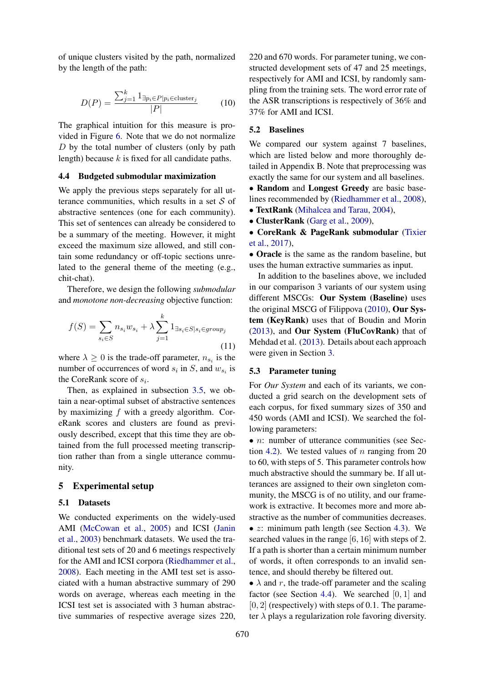<span id="page-6-1"></span>of unique clusters visited by the path, normalized by the length of the path:

$$
D(P) = \frac{\sum_{j=1}^{k} 1_{\exists p_i \in P | p_i \in \text{cluster}_j}}{|P|}
$$
 (10)

The graphical intuition for this measure is provided in Figure [6.](#page-5-2) Note that we do not normalize  $D$  by the total number of clusters (only by path length) because  $k$  is fixed for all candidate paths.

#### <span id="page-6-0"></span>4.4 Budgeted submodular maximization

We apply the previous steps separately for all utterance communities, which results in a set  $S$  of abstractive sentences (one for each community). This set of sentences can already be considered to be a summary of the meeting. However, it might exceed the maximum size allowed, and still contain some redundancy or off-topic sections unrelated to the general theme of the meeting (e.g., chit-chat).

Therefore, we design the following *submodular* and *monotone non-decreasing* objective function:

$$
f(S) = \sum_{s_i \in S} n_{s_i} w_{s_i} + \lambda \sum_{j=1}^k 1_{\exists s_i \in S | s_i \in group_j}
$$
\n
$$
(11)
$$

where  $\lambda \geq 0$  is the trade-off parameter,  $n_{s_i}$  is the number of occurrences of word  $s_i$  in  $S$ , and  $w_{s_i}$  is the CoreRank score of  $s_i$ .

Then, as explained in subsection [3.5,](#page-3-1) we obtain a near-optimal subset of abstractive sentences by maximizing  $f$  with a greedy algorithm. CoreRank scores and clusters are found as previously described, except that this time they are obtained from the full processed meeting transcription rather than from a single utterance community.

### 5 Experimental setup

### 5.1 Datasets

We conducted experiments on the widely-used AMI [\(McCowan et al.,](#page-9-14) [2005\)](#page-9-14) and ICSI [\(Janin](#page-9-15) [et al.,](#page-9-15) [2003\)](#page-9-15) benchmark datasets. We used the traditional test sets of 20 and 6 meetings respectively for the AMI and ICSI corpora [\(Riedhammer et al.,](#page-10-6) [2008\)](#page-10-6). Each meeting in the AMI test set is associated with a human abstractive summary of 290 words on average, whereas each meeting in the ICSI test set is associated with 3 human abstractive summaries of respective average sizes 220,

220 and 670 words. For parameter tuning, we constructed development sets of 47 and 25 meetings, respectively for AMI and ICSI, by randomly sampling from the training sets. The word error rate of the ASR transcriptions is respectively of 36% and 37% for AMI and ICSI.

#### 5.2 Baselines

We compared our system against 7 baselines, which are listed below and more thoroughly detailed in Appendix B. Note that preprocessing was exactly the same for our system and all baselines.

• Random and Longest Greedy are basic baselines recommended by [\(Riedhammer et al.,](#page-10-6) [2008\)](#page-10-6),

• TextRank [\(Mihalcea and Tarau,](#page-9-4) [2004\)](#page-9-4), • ClusterRank [\(Garg et al.,](#page-9-16) [2009\)](#page-9-16),

• CoreRank & PageRank submodular [\(Tixier](#page-10-7)

[et al.,](#page-10-7) [2017\)](#page-10-7),

• Oracle is the same as the random baseline, but uses the human extractive summaries as input.

<span id="page-6-2"></span>In addition to the baselines above, we included in our comparison 3 variants of our system using different MSCGs: Our System (Baseline) uses the original MSCG of Filippova [\(2010\)](#page-9-1), Our System (KeyRank) uses that of Boudin and Morin [\(2013\)](#page-9-2), and Our System (FluCovRank) that of Mehdad et al. [\(2013\)](#page-9-3). Details about each approach were given in Section [3.](#page-1-2)

#### 5.3 Parameter tuning

For *Our System* and each of its variants, we conducted a grid search on the development sets of each corpus, for fixed summary sizes of 350 and 450 words (AMI and ICSI). We searched the following parameters:

• *n*: number of utterance communities (see Sec-tion [4.2\)](#page-3-2). We tested values of  $n$  ranging from 20 to 60, with steps of 5. This parameter controls how much abstractive should the summary be. If all utterances are assigned to their own singleton community, the MSCG is of no utility, and our framework is extractive. It becomes more and more abstractive as the number of communities decreases. •  $z$ : minimum path length (see Section [4.3\)](#page-3-3). We searched values in the range [6, 16] with steps of 2. If a path is shorter than a certain minimum number of words, it often corresponds to an invalid sentence, and should thereby be filtered out.

•  $\lambda$  and r, the trade-off parameter and the scaling factor (see Section [4.4\)](#page-6-0). We searched  $[0, 1]$  and  $[0, 2]$  (respectively) with steps of 0.1. The parameter  $\lambda$  plays a regularization role favoring diversity.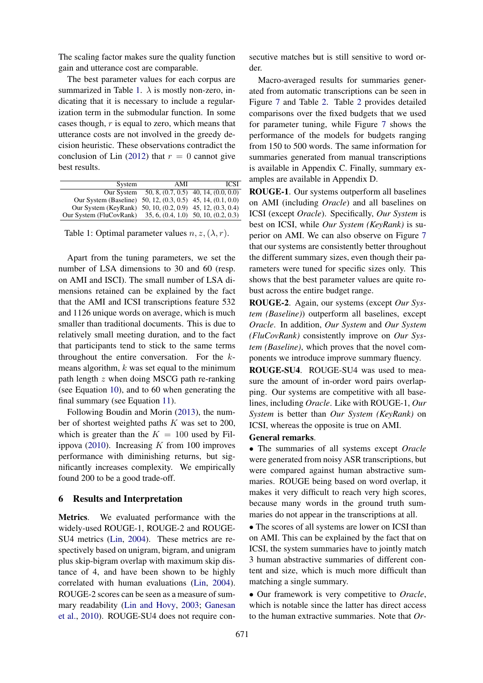The scaling factor makes sure the quality function gain and utterance cost are comparable.

The best parameter values for each corpus are summarized in Table [1.](#page-7-0)  $\lambda$  is mostly non-zero, indicating that it is necessary to include a regularization term in the submodular function. In some cases though, r is equal to zero, which means that utterance costs are not involved in the greedy decision heuristic. These observations contradict the conclusion of Lin [\(2012\)](#page-9-11) that  $r = 0$  cannot give best results.

<span id="page-7-0"></span>

| System                                                      | AMI | ICSI                                     |
|-------------------------------------------------------------|-----|------------------------------------------|
|                                                             |     |                                          |
| Our System                                                  |     | $50, 8, (0.7, 0.5)$ 40, 14, $(0.0, 0.0)$ |
| Our System (Baseline) 50, 12, (0.3, 0.5) 45, 14, (0.1, 0.0) |     |                                          |
| Our System (KeyRank) 50, 10, (0.2, 0.9) 45, 12, (0.3, 0.4)  |     |                                          |
| Our System (FluCovRank)                                     |     | $35, 6, (0.4, 1.0)$ $50, 10, (0.2, 0.3)$ |

Table 1: Optimal parameter values  $n, z, (\lambda, r)$ .

Apart from the tuning parameters, we set the number of LSA dimensions to 30 and 60 (resp. on AMI and ISCI). The small number of LSA dimensions retained can be explained by the fact that the AMI and ICSI transcriptions feature 532 and 1126 unique words on average, which is much smaller than traditional documents. This is due to relatively small meeting duration, and to the fact that participants tend to stick to the same terms throughout the entire conversation. For the kmeans algorithm,  $k$  was set equal to the minimum path length  $z$  when doing MSCG path re-ranking (see Equation [10\)](#page-6-1), and to 60 when generating the final summary (see Equation [11\)](#page-6-2).

Following Boudin and Morin [\(2013\)](#page-9-2), the number of shortest weighted paths K was set to 200, which is greater than the  $K = 100$  used by Fil-ippova [\(2010\)](#page-9-1). Increasing  $K$  from 100 improves performance with diminishing returns, but significantly increases complexity. We empirically found 200 to be a good trade-off.

#### 6 Results and Interpretation

Metrics. We evaluated performance with the widely-used ROUGE-1, ROUGE-2 and ROUGE-SU4 metrics [\(Lin,](#page-9-17) [2004\)](#page-9-17). These metrics are respectively based on unigram, bigram, and unigram plus skip-bigram overlap with maximum skip distance of 4, and have been shown to be highly correlated with human evaluations [\(Lin,](#page-9-17) [2004\)](#page-9-17). ROUGE-2 scores can be seen as a measure of summary readability [\(Lin and Hovy,](#page-9-18) [2003;](#page-9-18) [Ganesan](#page-9-19) [et al.,](#page-9-19) [2010\)](#page-9-19). ROUGE-SU4 does not require consecutive matches but is still sensitive to word order.

Macro-averaged results for summaries generated from automatic transcriptions can be seen in Figure [7](#page-8-0) and Table [2.](#page-8-1) Table [2](#page-8-1) provides detailed comparisons over the fixed budgets that we used for parameter tuning, while Figure [7](#page-8-0) shows the performance of the models for budgets ranging from 150 to 500 words. The same information for summaries generated from manual transcriptions is available in Appendix C. Finally, summary examples are available in Appendix D.

ROUGE-1. Our systems outperform all baselines on AMI (including *Oracle*) and all baselines on ICSI (except *Oracle*). Specifically, *Our System* is best on ICSI, while *Our System (KeyRank)* is superior on AMI. We can also observe on Figure [7](#page-8-0) that our systems are consistently better throughout the different summary sizes, even though their parameters were tuned for specific sizes only. This shows that the best parameter values are quite robust across the entire budget range.

ROUGE-2. Again, our systems (except *Our System (Baseline)*) outperform all baselines, except *Oracle*. In addition, *Our System* and *Our System (FluCovRank)* consistently improve on *Our System (Baseline)*, which proves that the novel components we introduce improve summary fluency.

ROUGE-SU4. ROUGE-SU4 was used to measure the amount of in-order word pairs overlapping. Our systems are competitive with all baselines, including *Oracle*. Like with ROUGE-1, *Our System* is better than *Our System (KeyRank)* on ICSI, whereas the opposite is true on AMI.

#### General remarks.

• The summaries of all systems except *Oracle* were generated from noisy ASR transcriptions, but were compared against human abstractive summaries. ROUGE being based on word overlap, it makes it very difficult to reach very high scores, because many words in the ground truth summaries do not appear in the transcriptions at all.

• The scores of all systems are lower on ICSI than on AMI. This can be explained by the fact that on ICSI, the system summaries have to jointly match 3 human abstractive summaries of different content and size, which is much more difficult than matching a single summary.

• Our framework is very competitive to *Oracle*, which is notable since the latter has direct access to the human extractive summaries. Note that *Or-*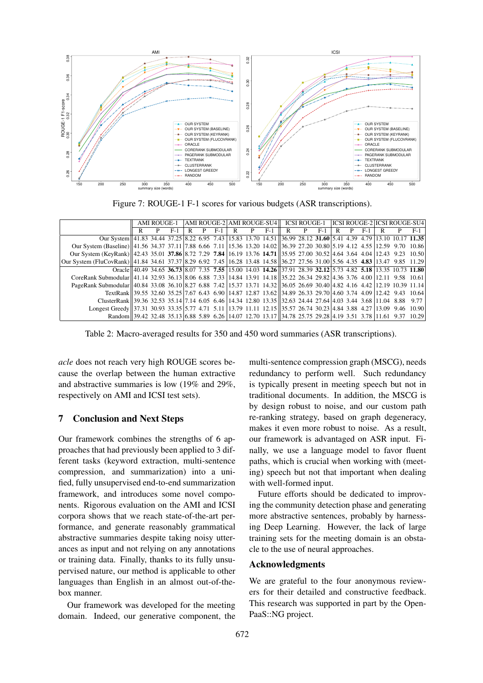<span id="page-8-0"></span>

Figure 7: ROUGE-1 F-1 scores for various budgets (ASR transcriptions).

<span id="page-8-1"></span>

|                                                                                                                              | AMI ROUGE-1 |  |     |  |  |       |  |  |       |   |  |       |   |  | AMI ROUGE-2 AMI ROUGE-SU4   ICSI ROUGE-1   ICSI ROUGE-2   ICSI ROUGE-SU4 |  |  |       |
|------------------------------------------------------------------------------------------------------------------------------|-------------|--|-----|--|--|-------|--|--|-------|---|--|-------|---|--|--------------------------------------------------------------------------|--|--|-------|
|                                                                                                                              | R           |  | F-1 |  |  | $F-1$ |  |  | $F-1$ | R |  | $F-1$ | R |  | F-1                                                                      |  |  | $F-1$ |
| Our System 41.83 34.44 37.25 8.22 6.95 7.43 15.83 13.70 14.51 36.99 28.12 31.60 5.41 4.39 4.79 13.10 10.17 11.35             |             |  |     |  |  |       |  |  |       |   |  |       |   |  |                                                                          |  |  |       |
| Our System (Baseline) 41.56 34.37 37.11 7.88 6.66 7.11 15.36 13.20 14.02 36.39 27.20 30.80 5.19 4.12 4.55 12.59 9.70 10.86   |             |  |     |  |  |       |  |  |       |   |  |       |   |  |                                                                          |  |  |       |
| Our System (KeyRank) 42.43 35.01 37.86 8.72 7.29 7.84 16.19 13.76 14.71 35.95 27.00 30.52 4.64 3.64 4.04 12.43 9.23 10.50    |             |  |     |  |  |       |  |  |       |   |  |       |   |  |                                                                          |  |  |       |
| Our System (FluCovRank) 41.84 34.61 37.37 8.29 6.92 7.45 16.28 13.48 14.58 36.27 27.56 31.00 5.56 4.35 4.83 13.47 9.85 11.29 |             |  |     |  |  |       |  |  |       |   |  |       |   |  |                                                                          |  |  |       |
| Oracle 40.49 34.65 36.73 8.07 7.35 7.55 15.00 14.03 14.26 37.91 28.39 32.12 5.73 4.82 5.18 13.35 10.73 11.80                 |             |  |     |  |  |       |  |  |       |   |  |       |   |  |                                                                          |  |  |       |
| CoreRank Submodular 41.14 32.93 36.13 8.06 6.88 7.33 14.84 13.91 14.18 35.22 26.34 29.82 4.36 3.76 4.00 12.11 9.58 10.61     |             |  |     |  |  |       |  |  |       |   |  |       |   |  |                                                                          |  |  |       |
| PageRank Submodular 40.84 33.08 36.10 8.27 6.88 7.42 15.37 13.71 14.32 36.05 26.69 30.40 4.82 4.16 4.42 12.19 10.39 11.14    |             |  |     |  |  |       |  |  |       |   |  |       |   |  |                                                                          |  |  |       |
| TextRank 39.55 32.60 35.25 7.67 6.43 6.90 14.87 12.87 13.62 34.89 26.33 29.70 4.60 3.74 4.09 12.42 9.43 10.64                |             |  |     |  |  |       |  |  |       |   |  |       |   |  |                                                                          |  |  |       |
| ClusterRank 39.36 32.53 35.14 7.14 6.05 6.46 14.34 12.80 13.35 32.63 24.44 27.64 4.03 3.44 3.68 11.04 8.88 9.77              |             |  |     |  |  |       |  |  |       |   |  |       |   |  |                                                                          |  |  |       |
| Longest Greedy 37.31 30.93 33.35 5.77 4.71 5.11 13.79 11.11 12.15 35.57 26.74 30.23 4.84 3.88 4.27 13.09 9.46 10.90          |             |  |     |  |  |       |  |  |       |   |  |       |   |  |                                                                          |  |  |       |
| Random 39.42 32.48 35.13 6.88 5.89 6.26 14.07 12.70 13.17 34.78 25.75 29.28 4.19 3.51 3.78 11.61 9.37 10.29                  |             |  |     |  |  |       |  |  |       |   |  |       |   |  |                                                                          |  |  |       |

Table 2: Macro-averaged results for 350 and 450 word summaries (ASR transcriptions).

*acle* does not reach very high ROUGE scores because the overlap between the human extractive and abstractive summaries is low (19% and 29%, respectively on AMI and ICSI test sets).

#### 7 Conclusion and Next Steps

Our framework combines the strengths of 6 approaches that had previously been applied to 3 different tasks (keyword extraction, multi-sentence compression, and summarization) into a unified, fully unsupervised end-to-end summarization framework, and introduces some novel components. Rigorous evaluation on the AMI and ICSI corpora shows that we reach state-of-the-art performance, and generate reasonably grammatical abstractive summaries despite taking noisy utterances as input and not relying on any annotations or training data. Finally, thanks to its fully unsupervised nature, our method is applicable to other languages than English in an almost out-of-thebox manner.

Our framework was developed for the meeting domain. Indeed, our generative component, the

multi-sentence compression graph (MSCG), needs redundancy to perform well. Such redundancy is typically present in meeting speech but not in traditional documents. In addition, the MSCG is by design robust to noise, and our custom path re-ranking strategy, based on graph degeneracy, makes it even more robust to noise. As a result, our framework is advantaged on ASR input. Finally, we use a language model to favor fluent paths, which is crucial when working with (meeting) speech but not that important when dealing with well-formed input.

Future efforts should be dedicated to improving the community detection phase and generating more abstractive sentences, probably by harnessing Deep Learning. However, the lack of large training sets for the meeting domain is an obstacle to the use of neural approaches.

## Acknowledgments

We are grateful to the four anonymous reviewers for their detailed and constructive feedback. This research was supported in part by the Open-PaaS::NG project.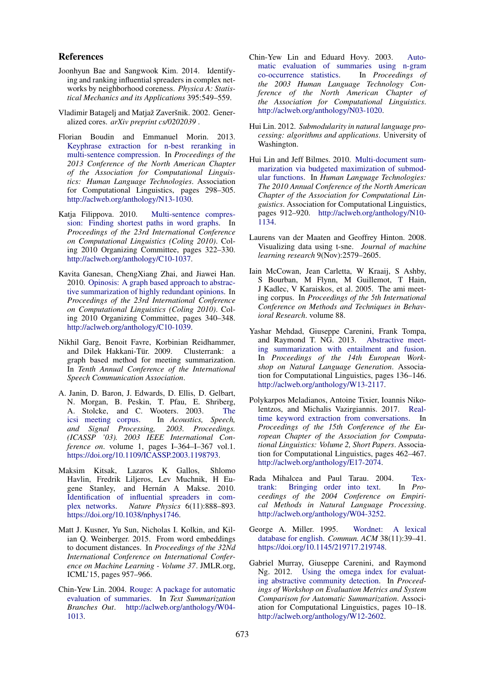#### References

- <span id="page-9-6"></span>Joonhyun Bae and Sangwook Kim. 2014. Identifying and ranking influential spreaders in complex networks by neighborhood coreness. *Physica A: Statistical Mechanics and its Applications* 395:549–559.
- <span id="page-9-7"></span>Vladimir Batagelj and Matjaž Zaveršnik. 2002. Generalized cores. *arXiv preprint cs/0202039* .
- <span id="page-9-2"></span>Florian Boudin and Emmanuel Morin. 2013. [Keyphrase extraction for n-best reranking in](http://aclweb.org/anthology/N13-1030) [multi-sentence compression.](http://aclweb.org/anthology/N13-1030) In *Proceedings of the 2013 Conference of the North American Chapter of the Association for Computational Linguistics: Human Language Technologies*. Association for Computational Linguistics, pages 298–305. [http://aclweb.org/anthology/N13-1030.](http://aclweb.org/anthology/N13-1030)
- <span id="page-9-1"></span>Katja Filippova. 2010. [Multi-sentence compres](http://aclweb.org/anthology/C10-1037)[sion: Finding shortest paths in word graphs.](http://aclweb.org/anthology/C10-1037) In *Proceedings of the 23rd International Conference on Computational Linguistics (Coling 2010)*. Coling 2010 Organizing Committee, pages 322–330. [http://aclweb.org/anthology/C10-1037.](http://aclweb.org/anthology/C10-1037)
- <span id="page-9-19"></span>Kavita Ganesan, ChengXiang Zhai, and Jiawei Han. 2010. [Opinosis: A graph based approach to abstrac](http://aclweb.org/anthology/C10-1039)[tive summarization of highly redundant opinions.](http://aclweb.org/anthology/C10-1039) In *Proceedings of the 23rd International Conference on Computational Linguistics (Coling 2010)*. Coling 2010 Organizing Committee, pages 340–348. [http://aclweb.org/anthology/C10-1039.](http://aclweb.org/anthology/C10-1039)
- <span id="page-9-16"></span>Nikhil Garg, Benoit Favre, Korbinian Reidhammer, and Dilek Hakkani-Tur. 2009. Clusterrank: a ¨ graph based method for meeting summarization. In *Tenth Annual Conference of the International Speech Communication Association*.
- <span id="page-9-15"></span>A. Janin, D. Baron, J. Edwards, D. Ellis, D. Gelbart, N. Morgan, B. Peskin, T. Pfau, E. Shriberg, A. Stolcke, and C. Wooters. 2003. [The](https://doi.org/10.1109/ICASSP.2003.1198793) icsi meeting corpus. In Acoustics, Speech, In *Acoustics*, *Speech*, *and Signal Processing, 2003. Proceedings. (ICASSP '03). 2003 IEEE International Conference on*. volume 1, pages I–364–I–367 vol.1. [https://doi.org/10.1109/ICASSP.2003.1198793.](https://doi.org/10.1109/ICASSP.2003.1198793)
- <span id="page-9-5"></span>Maksim Kitsak, Lazaros K Gallos, Shlomo Havlin, Fredrik Liljeros, Lev Muchnik, H Eugene Stanley, and Hernán A Makse. 2010. [Identification of influential spreaders in com](https://doi.org/10.1038/nphys1746)[plex networks.](https://doi.org/10.1038/nphys1746) *Nature Physics* 6(11):888–893. [https://doi.org/10.1038/nphys1746.](https://doi.org/10.1038/nphys1746)
- <span id="page-9-12"></span>Matt J. Kusner, Yu Sun, Nicholas I. Kolkin, and Kilian Q. Weinberger. 2015. From word embeddings to document distances. In *Proceedings of the 32Nd International Conference on International Conference on Machine Learning - Volume 37*. JMLR.org, ICML'15, pages 957–966.
- <span id="page-9-17"></span>Chin-Yew Lin. 2004. [Rouge: A package for automatic](http://aclweb.org/anthology/W04-1013) [evaluation of summaries.](http://aclweb.org/anthology/W04-1013) In *Text Summarization Branches Out*. [http://aclweb.org/anthology/W04-](http://aclweb.org/anthology/W04-1013) [1013.](http://aclweb.org/anthology/W04-1013)
- <span id="page-9-18"></span>Chin-Yew Lin and Eduard Hovy. 2003. [Auto](http://aclweb.org/anthology/N03-1020)[matic evaluation of summaries using n-gram](http://aclweb.org/anthology/N03-1020)<br>co-occurrence statistics. In *Proceedings of* [co-occurrence statistics.](http://aclweb.org/anthology/N03-1020) In *Proceedings of the 2003 Human Language Technology Conference of the North American Chapter of the Association for Computational Linguistics*. [http://aclweb.org/anthology/N03-1020.](http://aclweb.org/anthology/N03-1020)
- <span id="page-9-11"></span>Hui Lin. 2012. *Submodularity in natural language processing: algorithms and applications*. University of Washington.
- <span id="page-9-10"></span>Hui Lin and Jeff Bilmes. 2010. [Multi-document sum](http://aclweb.org/anthology/N10-1134)[marization via budgeted maximization of submod](http://aclweb.org/anthology/N10-1134)[ular functions.](http://aclweb.org/anthology/N10-1134) In *Human Language Technologies: The 2010 Annual Conference of the North American Chapter of the Association for Computational Linguistics*. Association for Computational Linguistics, pages 912–920. [http://aclweb.org/anthology/N10-](http://aclweb.org/anthology/N10-1134) [1134.](http://aclweb.org/anthology/N10-1134)
- <span id="page-9-13"></span>Laurens van der Maaten and Geoffrey Hinton. 2008. Visualizing data using t-sne. *Journal of machine learning research* 9(Nov):2579–2605.
- <span id="page-9-14"></span>Iain McCowan, Jean Carletta, W Kraaij, S Ashby, S Bourban, M Flynn, M Guillemot, T Hain, J Kadlec, V Karaiskos, et al. 2005. The ami meeting corpus. In *Proceedings of the 5th International Conference on Methods and Techniques in Behavioral Research*. volume 88.
- <span id="page-9-3"></span>Yashar Mehdad, Giuseppe Carenini, Frank Tompa, and Raymond T. NG. 2013. [Abstractive meet](http://aclweb.org/anthology/W13-2117)[ing summarization with entailment and fusion.](http://aclweb.org/anthology/W13-2117) In *Proceedings of the 14th European Workshop on Natural Language Generation*. Association for Computational Linguistics, pages 136–146. [http://aclweb.org/anthology/W13-2117.](http://aclweb.org/anthology/W13-2117)
- <span id="page-9-8"></span>Polykarpos Meladianos, Antoine Tixier, Ioannis Nikolentzos, and Michalis Vazirgiannis. 2017. [Real](http://aclweb.org/anthology/E17-2074)[time keyword extraction from conversations.](http://aclweb.org/anthology/E17-2074) In *Proceedings of the 15th Conference of the European Chapter of the Association for Computational Linguistics: Volume 2, Short Papers*. Association for Computational Linguistics, pages 462–467. [http://aclweb.org/anthology/E17-2074.](http://aclweb.org/anthology/E17-2074)
- <span id="page-9-4"></span>Rada Mihalcea and Paul Tarau. 2004. [Tex](http://aclweb.org/anthology/W04-3252)[trank: Bringing order into text.](http://aclweb.org/anthology/W04-3252) In *Proceedings of the 2004 Conference on Empirical Methods in Natural Language Processing*. [http://aclweb.org/anthology/W04-3252.](http://aclweb.org/anthology/W04-3252)
- <span id="page-9-9"></span>George A. Miller. 1995. [Wordnet: A lexical](https://doi.org/10.1145/219717.219748) [database for english.](https://doi.org/10.1145/219717.219748) *Commun. ACM* 38(11):39–41. [https://doi.org/10.1145/219717.219748.](https://doi.org/10.1145/219717.219748)
- <span id="page-9-0"></span>Gabriel Murray, Giuseppe Carenini, and Raymond Ng. 2012. [Using the omega index for evaluat](http://aclweb.org/anthology/W12-2602)[ing abstractive community detection.](http://aclweb.org/anthology/W12-2602) In *Proceedings of Workshop on Evaluation Metrics and System Comparison for Automatic Summarization*. Association for Computational Linguistics, pages 10–18. [http://aclweb.org/anthology/W12-2602.](http://aclweb.org/anthology/W12-2602)